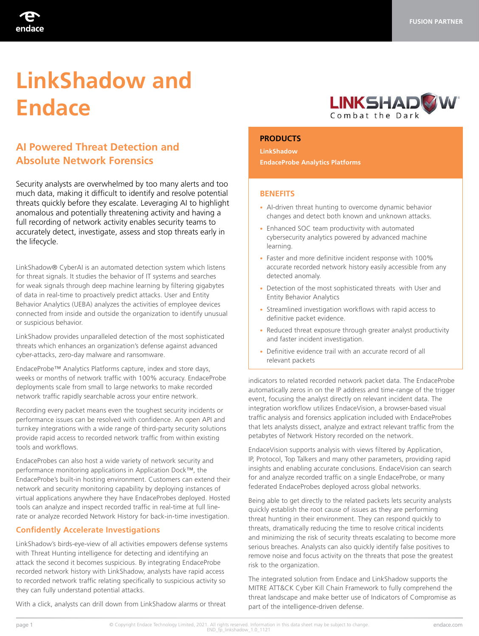

# **LinkShadow and Endace**

# **AI Powered Threat Detection and Absolute Network Forensics**

Security analysts are overwhelmed by too many alerts and too much data, making it difficult to identify and resolve potential threats quickly before they escalate. Leveraging AI to highlight anomalous and potentially threatening activity and having a full recording of network activity enables security teams to accurately detect, investigate, assess and stop threats early in the lifecycle.

LinkShadow® CyberAI is an automated detection system which listens for threat signals. It studies the behavior of IT systems and searches for weak signals through deep machine learning by filtering gigabytes of data in real-time to proactively predict attacks. User and Entity Behavior Analytics (UEBA) analyzes the activities of employee devices connected from inside and outside the organization to identify unusual or suspicious behavior.

LinkShadow provides unparalleled detection of the most sophisticated threats which enhances an organization's defense against advanced cyber-attacks, zero-day malware and ransomware.

EndaceProbe™ Analytics Platforms capture, index and store days, weeks or months of network traffic with 100% accuracy. EndaceProbe deployments scale from small to large networks to make recorded network traffic rapidly searchable across your entire network.

Recording every packet means even the toughest security incidents or performance issues can be resolved with confidence. An open API and turnkey integrations with a wide range of third-party security solutions provide rapid access to recorded network traffic from within existing tools and workflows.

EndaceProbes can also host a wide variety of network security and performance monitoring applications in Application Dock™, the EndaceProbe's built-in hosting environment. Customers can extend their network and security monitoring capability by deploying instances of virtual applications anywhere they have EndaceProbes deployed. Hosted tools can analyze and inspect recorded traffic in real-time at full linerate or analyze recorded Network History for back-in-time investigation.

## **Confidently Accelerate Investigations**

LinkShadow's birds-eye-view of all activities empowers defense systems with Threat Hunting intelligence for detecting and identifying an attack the second it becomes suspicious. By integrating EndaceProbe recorded network history with LinkShadow, analysts have rapid access to recorded network traffic relating specifically to suspicious activity so they can fully understand potential attacks.

With a click, analysts can drill down from LinkShadow alarms or threat



#### **PRODUCTS**

**LinkShadow EndaceProbe Analytics Platforms**

#### **BENEFITS**

- AI-driven threat hunting to overcome dynamic behavior changes and detect both known and unknown attacks.
- Enhanced SOC team productivity with automated cybersecurity analytics powered by advanced machine learning.
- Faster and more definitive incident response with 100% accurate recorded network history easily accessible from any detected anomaly.
- Detection of the most sophisticated threats with User and Entity Behavior Analytics
- Streamlined investigation workflows with rapid access to definitive packet evidence.
- Reduced threat exposure through greater analyst productivity and faster incident investigation.
- Definitive evidence trail with an accurate record of all relevant packets

indicators to related recorded network packet data. The EndaceProbe automatically zeros in on the IP address and time-range of the trigger event, focusing the analyst directly on relevant incident data. The integration workflow utilizes EndaceVision, a browser-based visual traffic analysis and forensics application included with EndaceProbes that lets analysts dissect, analyze and extract relevant traffic from the petabytes of Network History recorded on the network.

EndaceVision supports analysis with views filtered by Application, IP, Protocol, Top Talkers and many other parameters, providing rapid insights and enabling accurate conclusions. EndaceVision can search for and analyze recorded traffic on a single EndaceProbe, or many federated EndaceProbes deployed across global networks.

Being able to get directly to the related packets lets security analysts quickly establish the root cause of issues as they are performing threat hunting in their environment. They can respond quickly to threats, dramatically reducing the time to resolve critical incidents and minimizing the risk of security threats escalating to become more serious breaches. Analysts can also quickly identify false positives to remove noise and focus activity on the threats that pose the greatest risk to the organization.

The integrated solution from Endace and LinkShadow supports the MITRE ATT&CK Cyber Kill Chain Framework to fully comprehend the threat landscape and make better use of Indicators of Compromise as part of the intelligence-driven defense.